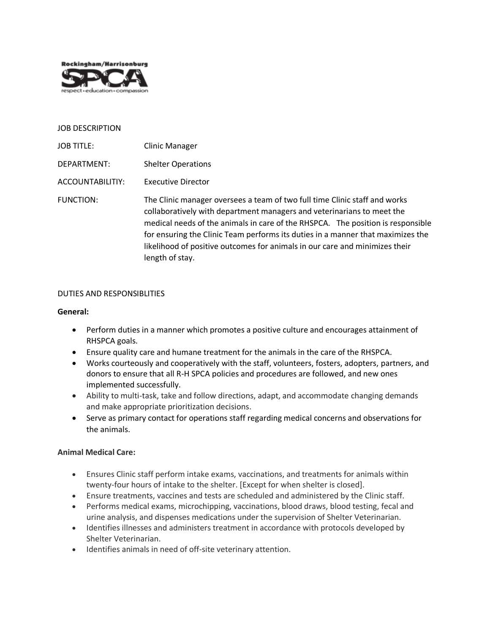

#### JOB DESCRIPTION

JOB TITLE: Clinic Manager DEPARTMENT: Shelter Operations ACCOUNTABILITIY: Executive Director FUNCTION: The Clinic manager oversees a team of two full time Clinic staff and works collaboratively with department managers and veterinarians to meet the medical needs of the animals in care of the RHSPCA. The position is responsible for ensuring the Clinic Team performs its duties in a manner that maximizes the likelihood of positive outcomes for animals in our care and minimizes their length of stay.

## DUTIES AND RESPONSIBLITIES

#### **General:**

- Perform duties in a manner which promotes a positive culture and encourages attainment of RHSPCA goals.
- Ensure quality care and humane treatment for the animals in the care of the RHSPCA.
- Works courteously and cooperatively with the staff, volunteers, fosters, adopters, partners, and donors to ensure that all R-H SPCA policies and procedures are followed, and new ones implemented successfully.
- Ability to multi-task, take and follow directions, adapt, and accommodate changing demands and make appropriate prioritization decisions.
- Serve as primary contact for operations staff regarding medical concerns and observations for the animals.

## **Animal Medical Care:**

- Ensures Clinic staff perform intake exams, vaccinations, and treatments for animals within twenty-four hours of intake to the shelter. [Except for when shelter is closed].
- Ensure treatments, vaccines and tests are scheduled and administered by the Clinic staff.
- Performs medical exams, microchipping, vaccinations, blood draws, blood testing, fecal and urine analysis, and dispenses medications under the supervision of Shelter Veterinarian.
- Identifies illnesses and administers treatment in accordance with protocols developed by Shelter Veterinarian.
- Identifies animals in need of off-site veterinary attention.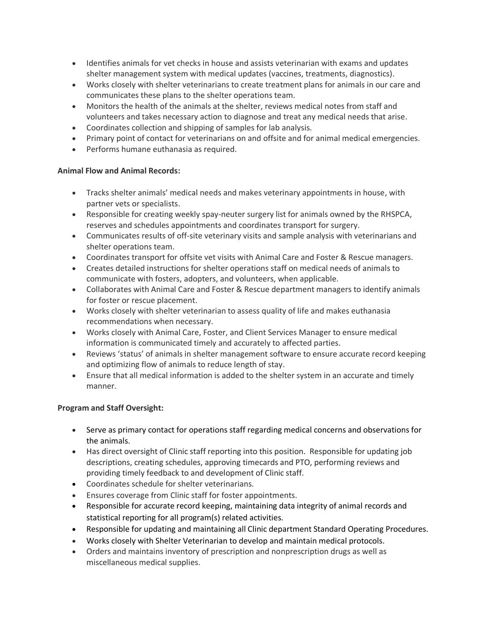- Identifies animals for vet checks in house and assists veterinarian with exams and updates shelter management system with medical updates (vaccines, treatments, diagnostics).
- Works closely with shelter veterinarians to create treatment plans for animals in our care and communicates these plans to the shelter operations team.
- Monitors the health of the animals at the shelter, reviews medical notes from staff and volunteers and takes necessary action to diagnose and treat any medical needs that arise.
- Coordinates collection and shipping of samples for lab analysis.
- Primary point of contact for veterinarians on and offsite and for animal medical emergencies.
- Performs humane euthanasia as required.

# **Animal Flow and Animal Records:**

- Tracks shelter animals' medical needs and makes veterinary appointments in house, with partner vets or specialists.
- Responsible for creating weekly spay-neuter surgery list for animals owned by the RHSPCA, reserves and schedules appointments and coordinates transport for surgery.
- Communicates results of off-site veterinary visits and sample analysis with veterinarians and shelter operations team.
- Coordinates transport for offsite vet visits with Animal Care and Foster & Rescue managers.
- Creates detailed instructions for shelter operations staff on medical needs of animals to communicate with fosters, adopters, and volunteers, when applicable.
- Collaborates with Animal Care and Foster & Rescue department managers to identify animals for foster or rescue placement.
- Works closely with shelter veterinarian to assess quality of life and makes euthanasia recommendations when necessary.
- Works closely with Animal Care, Foster, and Client Services Manager to ensure medical information is communicated timely and accurately to affected parties.
- Reviews 'status' of animals in shelter management software to ensure accurate record keeping and optimizing flow of animals to reduce length of stay.
- Ensure that all medical information is added to the shelter system in an accurate and timely manner.

## **Program and Staff Oversight:**

- Serve as primary contact for operations staff regarding medical concerns and observations for the animals.
- Has direct oversight of Clinic staff reporting into this position. Responsible for updating job descriptions, creating schedules, approving timecards and PTO, performing reviews and providing timely feedback to and development of Clinic staff.
- Coordinates schedule for shelter veterinarians.
- Ensures coverage from Clinic staff for foster appointments.
- Responsible for accurate record keeping, maintaining data integrity of animal records and statistical reporting for all program(s) related activities.
- Responsible for updating and maintaining all Clinic department Standard Operating Procedures.
- Works closely with Shelter Veterinarian to develop and maintain medical protocols.
- Orders and maintains inventory of prescription and nonprescription drugs as well as miscellaneous medical supplies.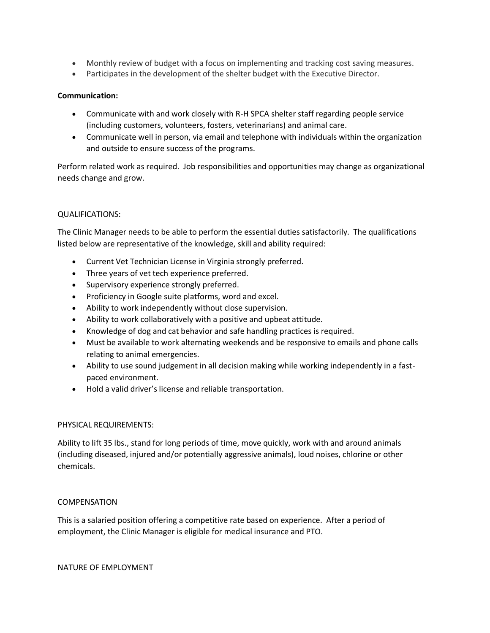- Monthly review of budget with a focus on implementing and tracking cost saving measures.
- Participates in the development of the shelter budget with the Executive Director.

## **Communication:**

- Communicate with and work closely with R-H SPCA shelter staff regarding people service (including customers, volunteers, fosters, veterinarians) and animal care.
- Communicate well in person, via email and telephone with individuals within the organization and outside to ensure success of the programs.

Perform related work as required. Job responsibilities and opportunities may change as organizational needs change and grow.

## QUALIFICATIONS:

The Clinic Manager needs to be able to perform the essential duties satisfactorily. The qualifications listed below are representative of the knowledge, skill and ability required:

- Current Vet Technician License in Virginia strongly preferred.
- Three years of vet tech experience preferred.
- Supervisory experience strongly preferred.
- Proficiency in Google suite platforms, word and excel.
- Ability to work independently without close supervision.
- Ability to work collaboratively with a positive and upbeat attitude.
- Knowledge of dog and cat behavior and safe handling practices is required.
- Must be available to work alternating weekends and be responsive to emails and phone calls relating to animal emergencies.
- Ability to use sound judgement in all decision making while working independently in a fastpaced environment.
- Hold a valid driver's license and reliable transportation.

## PHYSICAL REQUIREMENTS:

Ability to lift 35 lbs., stand for long periods of time, move quickly, work with and around animals (including diseased, injured and/or potentially aggressive animals), loud noises, chlorine or other chemicals.

#### COMPENSATION

This is a salaried position offering a competitive rate based on experience. After a period of employment, the Clinic Manager is eligible for medical insurance and PTO.

NATURE OF EMPLOYMENT